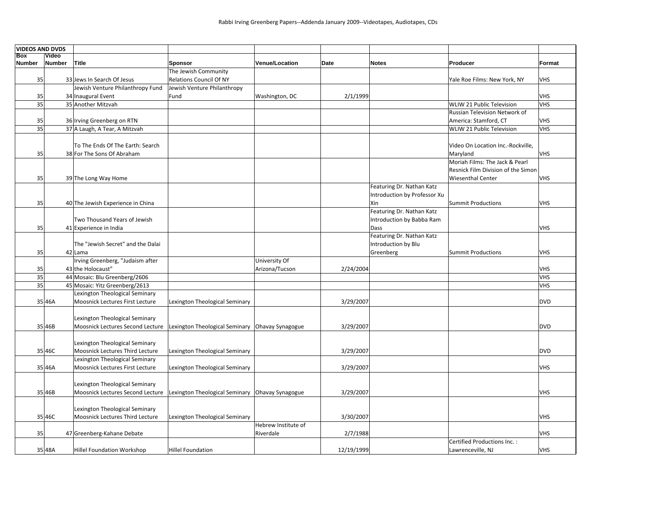| <b>VIDEOS AND DVDS</b> |               |                                                                                      |                                        |                     |      |            |                              |                                    |                          |
|------------------------|---------------|--------------------------------------------------------------------------------------|----------------------------------------|---------------------|------|------------|------------------------------|------------------------------------|--------------------------|
| <b>Box</b>             | Video         |                                                                                      |                                        |                     |      |            |                              |                                    |                          |
| Number                 | <b>Number</b> | Title                                                                                | <b>Sponsor</b><br>The Jewish Community | Venue/Location      | Date |            | <b>Notes</b>                 | Producer                           | Format                   |
| 35                     |               | 33 Jews In Search Of Jesus                                                           | <b>Relations Council Of NY</b>         |                     |      |            |                              | Yale Roe Films: New York, NY       | <b>VHS</b>               |
|                        |               | Jewish Venture Philanthropy Fund                                                     | Jewish Venture Philanthropy            |                     |      |            |                              |                                    |                          |
| 35                     |               | 34 Inaugural Event                                                                   | Fund                                   | Washington, DC      |      | 2/1/1999   |                              |                                    | <b>VHS</b>               |
| 35                     |               | 35 Another Mitzvah                                                                   |                                        |                     |      |            |                              | WLIW 21 Public Television          | <b>VHS</b>               |
|                        |               |                                                                                      |                                        |                     |      |            |                              | Russian Television Network of      |                          |
| 35                     |               | 36 Irving Greenberg on RTN                                                           |                                        |                     |      |            |                              | America: Stamford, CT              | <b>VHS</b>               |
| 35                     |               | 37 A Laugh, A Tear, A Mitzvah                                                        |                                        |                     |      |            |                              | WLIW 21 Public Television          | <b>VHS</b>               |
|                        |               |                                                                                      |                                        |                     |      |            |                              |                                    |                          |
|                        |               | To The Ends Of The Earth: Search                                                     |                                        |                     |      |            |                              | Video On Location Inc.-Rockville,  |                          |
| 35                     |               | 38 For The Sons Of Abraham                                                           |                                        |                     |      |            |                              | Maryland                           | <b>VHS</b>               |
|                        |               |                                                                                      |                                        |                     |      |            |                              | Moriah Films: The Jack & Pearl     |                          |
|                        |               |                                                                                      |                                        |                     |      |            |                              | Resnick Film Division of the Simon |                          |
| 35                     |               | 39 The Long Way Home                                                                 |                                        |                     |      |            |                              | <b>Wiesenthal Center</b>           | <b>VHS</b>               |
|                        |               |                                                                                      |                                        |                     |      |            | Featuring Dr. Nathan Katz    |                                    |                          |
|                        |               |                                                                                      |                                        |                     |      |            | Introduction by Professor Xu |                                    |                          |
| 35                     |               | 40 The Jewish Experience in China                                                    |                                        |                     |      |            | Xin                          | Summit Productions                 | <b>VHS</b>               |
|                        |               |                                                                                      |                                        |                     |      |            | Featuring Dr. Nathan Katz    |                                    |                          |
|                        |               | Two Thousand Years of Jewish                                                         |                                        |                     |      |            | Introduction by Babba Ram    |                                    |                          |
| 35                     |               | 41 Experience in India                                                               |                                        |                     |      |            | Dass                         |                                    | <b>VHS</b>               |
|                        |               |                                                                                      |                                        |                     |      |            | Featuring Dr. Nathan Katz    |                                    |                          |
|                        |               | The "Jewish Secret" and the Dalai                                                    |                                        |                     |      |            | Introduction by Blu          |                                    |                          |
| 35                     |               | 42 Lama                                                                              |                                        |                     |      |            | Greenberg                    | Summit Productions                 | <b>VHS</b>               |
|                        |               | Irving Greenberg, "Judaism after                                                     |                                        | University Of       |      |            |                              |                                    |                          |
| 35<br>35               |               | 43 the Holocaust"<br>44 Mosaic: Blu Greenberg/2606                                   |                                        | Arizona/Tucson      |      | 2/24/2004  |                              |                                    | <b>VHS</b><br><b>VHS</b> |
| 35                     |               | 45 Mosaic: Yitz Greenberg/2613                                                       |                                        |                     |      |            |                              |                                    | <b>VHS</b>               |
|                        |               | Lexington Theological Seminary                                                       |                                        |                     |      |            |                              |                                    |                          |
|                        | 35 46A        | Moosnick Lectures First Lecture                                                      | Lexington Theological Seminary         |                     |      | 3/29/2007  |                              |                                    | <b>DVD</b>               |
|                        |               |                                                                                      |                                        |                     |      |            |                              |                                    |                          |
|                        |               | Lexington Theological Seminary                                                       |                                        |                     |      |            |                              |                                    |                          |
|                        | 35 46B        | Moosnick Lectures Second Lecture   Lexington Theological Seminary   Ohavay Synagogue |                                        |                     |      | 3/29/2007  |                              |                                    | <b>DVD</b>               |
|                        |               |                                                                                      |                                        |                     |      |            |                              |                                    |                          |
|                        |               | Lexington Theological Seminary                                                       |                                        |                     |      |            |                              |                                    |                          |
|                        | 35 46C        | Moosnick Lectures Third Lecture                                                      | Lexington Theological Seminary         |                     |      | 3/29/2007  |                              |                                    | <b>DVD</b>               |
|                        |               | Lexington Theological Seminary                                                       |                                        |                     |      |            |                              |                                    |                          |
|                        | 35 46A        | Moosnick Lectures First Lecture                                                      | Lexington Theological Seminary         |                     |      | 3/29/2007  |                              |                                    | <b>VHS</b>               |
|                        |               |                                                                                      |                                        |                     |      |            |                              |                                    |                          |
|                        |               | Lexington Theological Seminary                                                       |                                        |                     |      |            |                              |                                    |                          |
|                        | 35 46B        | Moosnick Lectures Second Lecture Lexington Theological Seminary Ohavay Synagogue     |                                        |                     |      | 3/29/2007  |                              |                                    | <b>VHS</b>               |
|                        |               |                                                                                      |                                        |                     |      |            |                              |                                    |                          |
|                        |               | Lexington Theological Seminary                                                       |                                        |                     |      |            |                              |                                    |                          |
|                        | 35 46C        | Moosnick Lectures Third Lecture                                                      | Lexington Theological Seminary         |                     |      | 3/30/2007  |                              |                                    | <b>VHS</b>               |
|                        |               |                                                                                      |                                        | Hebrew Institute of |      |            |                              |                                    |                          |
| 35                     |               | 47 Greenberg-Kahane Debate                                                           |                                        | Riverdale           |      | 2/7/1988   |                              |                                    | <b>VHS</b>               |
|                        |               |                                                                                      |                                        |                     |      |            |                              | Certified Productions Inc.:        |                          |
|                        | 35 48A        | Hillel Foundation Workshop                                                           | <b>Hillel Foundation</b>               |                     |      | 12/19/1999 |                              | Lawrenceville, NJ                  | <b>VHS</b>               |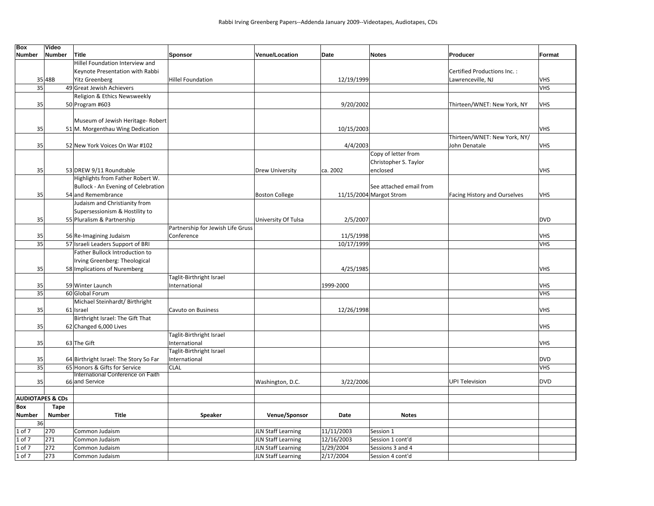| <b>Box</b>                  | Video         |                                        |                                   |                           |            |                         |                              |            |
|-----------------------------|---------------|----------------------------------------|-----------------------------------|---------------------------|------------|-------------------------|------------------------------|------------|
| <b>Number</b>               | <b>Number</b> | Title                                  | <b>Sponsor</b>                    | Venue/Location            | Date       | <b>Notes</b>            | Producer                     | Format     |
|                             |               | Hillel Foundation Interview and        |                                   |                           |            |                         |                              |            |
|                             |               | Keynote Presentation with Rabbi        |                                   |                           |            |                         | Certified Productions Inc.:  |            |
|                             | 35 48B        | <b>Yitz Greenberg</b>                  | <b>Hillel Foundation</b>          |                           | 12/19/1999 |                         | Lawrenceville, NJ            | <b>VHS</b> |
| 35                          |               | 49 Great Jewish Achievers              |                                   |                           |            |                         |                              | VHS        |
|                             |               | Religion & Ethics Newsweekly           |                                   |                           |            |                         |                              |            |
| 35                          |               | 50 Program #603                        |                                   |                           | 9/20/2002  |                         | Thirteen/WNET: New York, NY  | <b>VHS</b> |
|                             |               |                                        |                                   |                           |            |                         |                              |            |
|                             |               | Museum of Jewish Heritage- Robert      |                                   |                           |            |                         |                              |            |
| 35                          |               | 51 M. Morgenthau Wing Dedication       |                                   |                           | 10/15/2003 |                         |                              | <b>VHS</b> |
|                             |               |                                        |                                   |                           |            |                         | Thirteen/WNET: New York, NY/ |            |
| 35                          |               | 52 New York Voices On War #102         |                                   |                           | 4/4/2003   |                         | John Denatale                | <b>VHS</b> |
|                             |               |                                        |                                   |                           |            | Copy of letter from     |                              |            |
|                             |               |                                        |                                   |                           |            | Christopher S. Taylor   |                              |            |
| 35                          |               | 53 DREW 9/11 Roundtable                |                                   | <b>Drew University</b>    | ca. 2002   | enclosed                |                              | <b>VHS</b> |
|                             |               | Highlights from Father Robert W.       |                                   |                           |            |                         |                              |            |
|                             |               | Bullock - An Evening of Celebration    |                                   |                           |            | See attached email from |                              |            |
| 35                          |               | 54 and Remembrance                     |                                   | <b>Boston College</b>     |            | 11/15/2004 Margot Strom | Facing History and Ourselves | <b>VHS</b> |
|                             |               | Judaism and Christianity from          |                                   |                           |            |                         |                              |            |
|                             |               | Supersessionism & Hostility to         |                                   |                           |            |                         |                              |            |
| 35                          |               | 55 Pluralism & Partnership             |                                   | University Of Tulsa       | 2/5/2007   |                         |                              | <b>DVD</b> |
|                             |               |                                        | Partnership for Jewish Life Gruss |                           |            |                         |                              |            |
| 35                          |               | 56 Re-Imagining Judaism                | Conference                        |                           | 11/5/1998  |                         |                              | <b>VHS</b> |
| 35                          |               | 57 Israeli Leaders Support of BRI      |                                   |                           | 10/17/1999 |                         |                              | <b>VHS</b> |
|                             |               | Father Bullock Introduction to         |                                   |                           |            |                         |                              |            |
|                             |               | Irving Greenberg: Theological          |                                   |                           |            |                         |                              |            |
| 35                          |               | 58 Implications of Nuremberg           |                                   |                           | 4/25/1985  |                         |                              | <b>VHS</b> |
|                             |               |                                        | Taglit-Birthright Israel          |                           |            |                         |                              |            |
| 35                          |               | 59 Winter Launch                       | International                     |                           | 1999-2000  |                         |                              | <b>VHS</b> |
| 35                          |               | 60 Global Forum                        |                                   |                           |            |                         |                              | <b>VHS</b> |
|                             |               | Michael Steinhardt/ Birthright         |                                   |                           |            |                         |                              |            |
| 35                          |               | 61 Israel                              | Cavuto on Business                |                           | 12/26/1998 |                         |                              | <b>VHS</b> |
|                             |               | Birthright Israel: The Gift That       |                                   |                           |            |                         |                              |            |
| 35                          |               | 62 Changed 6,000 Lives                 |                                   |                           |            |                         |                              | <b>VHS</b> |
|                             |               |                                        | Taglit-Birthright Israel          |                           |            |                         |                              |            |
| 35                          |               | 63 The Gift                            | International                     |                           |            |                         |                              | <b>VHS</b> |
|                             |               |                                        | Taglit-Birthright Israel          |                           |            |                         |                              |            |
| 35                          |               | 64 Birthright Israel: The Story So Far | International                     |                           |            |                         |                              | <b>DVD</b> |
| 35                          |               | 65 Honors & Gifts for Service          | <b>CLAL</b>                       |                           |            |                         |                              | <b>VHS</b> |
|                             |               | International Conference on Faith      |                                   |                           |            |                         |                              |            |
| 35                          |               | 66 and Service                         |                                   | Washington, D.C.          | 3/22/2006  |                         | <b>UPI Television</b>        | <b>DVD</b> |
|                             |               |                                        |                                   |                           |            |                         |                              |            |
| <b>AUDIOTAPES &amp; CDs</b> |               |                                        |                                   |                           |            |                         |                              |            |
| Box                         | Tape          |                                        |                                   |                           |            |                         |                              |            |
| Number                      | <b>Number</b> | <b>Title</b>                           | Speaker                           | Venue/Sponsor             | Date       | <b>Notes</b>            |                              |            |
| 36                          |               |                                        |                                   |                           |            |                         |                              |            |
| 1 of 7                      | 270           | Common Judaism                         |                                   | <b>JLN Staff Learning</b> | 11/11/2003 | Session 1               |                              |            |
| 1 of 7                      | 271           | Common Judaism                         |                                   | <b>JLN Staff Learning</b> | 12/16/2003 | Session 1 cont'd        |                              |            |
| 1 of 7                      | 272           | Common Judaism                         |                                   | <b>JLN Staff Learning</b> | 1/29/2004  | Sessions 3 and 4        |                              |            |
| 1 of 7                      | 273           | Common Judaism                         |                                   | <b>JLN Staff Learning</b> | 2/17/2004  | Session 4 cont'd        |                              |            |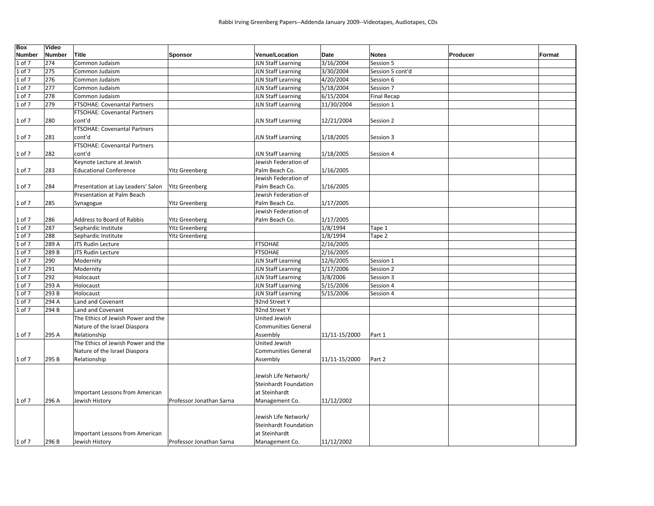| Box        | Video  |                                    |                          |                            |               |                    |          |        |
|------------|--------|------------------------------------|--------------------------|----------------------------|---------------|--------------------|----------|--------|
| Number     | Number | <b>Title</b>                       | <b>Sponsor</b>           | <b>Venue/Location</b>      | Date          | <b>Notes</b>       | Producer | Format |
| 1 of 7     | 274    | Common Judaism                     |                          | <b>JLN Staff Learning</b>  | 3/16/2004     | Session 5          |          |        |
| l of 7     | 275    | Common Judaism                     |                          | <b>JLN Staff Learning</b>  | 3/30/2004     | Session 5 cont'd   |          |        |
| . of $7$   | 276    | Common Judaism                     |                          | <b>JLN Staff Learning</b>  | 4/20/2004     | Session 6          |          |        |
| L of 7     | 277    | Common Judaism                     |                          | JLN Staff Learning         | 5/18/2004     | Session 7          |          |        |
| L of 7     | 278    | Common Judaism                     |                          | <b>JLN Staff Learning</b>  | 6/15/2004     | <b>Final Recap</b> |          |        |
| 1 of 7     | 279    | FTSOHAE: Covenantal Partners       |                          | <b>JLN Staff Learning</b>  | 11/30/2004    | Session 1          |          |        |
|            |        | FTSOHAE: Covenantal Partners       |                          |                            |               |                    |          |        |
| 1 of 7     | 280    | cont'd                             |                          | <b>JLN Staff Learning</b>  | 12/21/2004    | Session 2          |          |        |
|            |        | FTSOHAE: Covenantal Partners       |                          |                            |               |                    |          |        |
| 1 of 7     | 281    | cont'd                             |                          | <b>JLN Staff Learning</b>  | 1/18/2005     | Session 3          |          |        |
|            |        | FTSOHAE: Covenantal Partners       |                          |                            |               |                    |          |        |
| 1 of 7     | 282    | cont'd                             |                          | <b>JLN Staff Learning</b>  | 1/18/2005     | Session 4          |          |        |
|            |        | Keynote Lecture at Jewish          |                          | Jewish Federation of       |               |                    |          |        |
| 1 of 7     | 283    | <b>Educational Conference</b>      | <b>Yitz Greenberg</b>    | Palm Beach Co.             | 1/16/2005     |                    |          |        |
|            |        |                                    |                          | Jewish Federation of       |               |                    |          |        |
| 1 of 7     | 284    | Presentation at Lay Leaders' Salon | <b>Yitz Greenberg</b>    | Palm Beach Co.             | 1/16/2005     |                    |          |        |
|            |        | Presentation at Palm Beach         |                          | Jewish Federation of       |               |                    |          |        |
| 1 of 7     | 285    | Synagogue                          | <b>Yitz Greenberg</b>    | Palm Beach Co.             | 1/17/2005     |                    |          |        |
|            |        |                                    |                          | Jewish Federation of       |               |                    |          |        |
| 1 of 7     | 286    | Address to Board of Rabbis         | <b>Yitz Greenberg</b>    | Palm Beach Co.             | 1/17/2005     |                    |          |        |
| L of 7     | 287    | Sephardic Institute                | <b>Yitz Greenberg</b>    |                            | 1/8/1994      | Tape 1             |          |        |
| L of 7     | 288    | Sephardic Institute                | Yitz Greenberg           |                            | 1/8/1994      | Tape 2             |          |        |
| $1$ of $7$ | 289 A  | JTS Rudin Lecture                  |                          | <b>FTSOHAE</b>             | 2/16/2005     |                    |          |        |
| $1$ of $7$ | 289B   | JTS Rudin Lecture                  |                          | <b>FTSOHAE</b>             | 2/16/2005     |                    |          |        |
| 1 of 7     | 290    | Modernity                          |                          | <b>JLN Staff Learning</b>  | 12/6/2005     | Session 1          |          |        |
| . of $7$   | 291    | Modernity                          |                          | <b>JLN Staff Learning</b>  | 1/17/2006     | Session 2          |          |        |
| of 7       | 292    | Holocaust                          |                          | <b>JLN Staff Learning</b>  | 3/8/2006      | Session 3          |          |        |
| of 7       | 293 A  | Holocaust                          |                          | <b>JLN Staff Learning</b>  | 5/15/2006     | Session 4          |          |        |
| of $7$     | 293 B  | Holocaust                          |                          | <b>JLN Staff Learning</b>  | 5/15/2006     | Session 4          |          |        |
| . of $7$   | 294 A  | Land and Covenant                  |                          | 92nd Street Y              |               |                    |          |        |
| $1$ of $7$ | 294 B  | Land and Covenant                  |                          | 92nd Street Y              |               |                    |          |        |
|            |        | The Ethics of Jewish Power and the |                          | <b>United Jewish</b>       |               |                    |          |        |
|            |        | Nature of the Israel Diaspora      |                          | <b>Communities General</b> |               |                    |          |        |
| 1 of 7     | 295 A  | Relationship                       |                          | Assembly                   | 11/11-15/2000 | Part 1             |          |        |
|            |        | The Ethics of Jewish Power and the |                          | United Jewish              |               |                    |          |        |
|            |        | Nature of the Israel Diaspora      |                          | <b>Communities General</b> |               |                    |          |        |
| 1 of 7     | 295 B  | Relationship                       |                          | Assembly                   | 11/11-15/2000 | Part 2             |          |        |
|            |        |                                    |                          |                            |               |                    |          |        |
|            |        |                                    |                          | Jewish Life Network/       |               |                    |          |        |
|            |        |                                    |                          | Steinhardt Foundation      |               |                    |          |        |
|            |        | Important Lessons from American    |                          | at Steinhardt              |               |                    |          |        |
| 1 of 7     | 296 A  | Jewish History                     | Professor Jonathan Sarna | Management Co.             | 11/12/2002    |                    |          |        |
|            |        |                                    |                          |                            |               |                    |          |        |
|            |        |                                    |                          | Jewish Life Network/       |               |                    |          |        |
|            |        |                                    |                          | Steinhardt Foundation      |               |                    |          |        |
|            |        | Important Lessons from American    |                          | at Steinhardt              |               |                    |          |        |
|            |        |                                    |                          |                            |               |                    |          |        |
| 1 of 7     | 296 B  | Jewish History                     | Professor Jonathan Sarna | Management Co.             | 11/12/2002    |                    |          |        |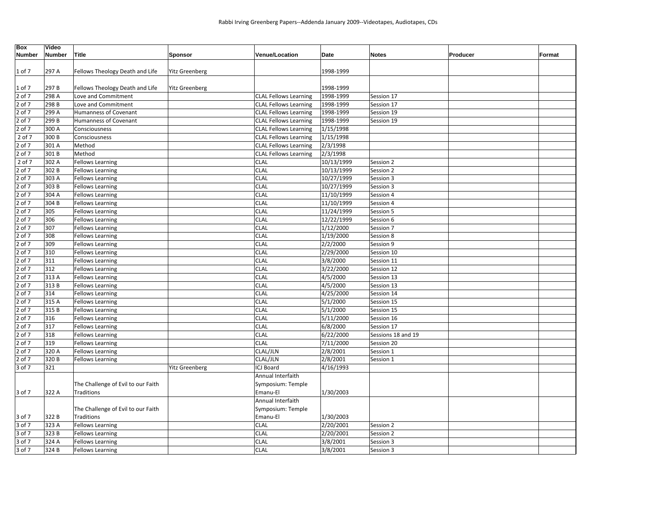| <b>Box</b><br><b>Number</b> | Video<br><b>Number</b> | Title                              | <b>Sponsor</b>        | <b>Venue/Location</b>        | <b>Date</b> | Producer<br><b>Notes</b> | Format |
|-----------------------------|------------------------|------------------------------------|-----------------------|------------------------------|-------------|--------------------------|--------|
|                             |                        |                                    |                       |                              |             |                          |        |
| 1 of 7                      | 297 A                  | Fellows Theology Death and Life    | <b>Yitz Greenberg</b> |                              | 1998-1999   |                          |        |
|                             |                        |                                    |                       |                              |             |                          |        |
| 1 of 7                      | 297B                   | Fellows Theology Death and Life    | <b>Yitz Greenberg</b> |                              | 1998-1999   |                          |        |
| 2 of 7                      | 298 A                  | Love and Commitment                |                       | <b>CLAL Fellows Learning</b> | 1998-1999   | Session 17               |        |
| 2 of 7                      | 298 B                  | Love and Commitment                |                       | <b>CLAL Fellows Learning</b> | 1998-1999   | Session 17               |        |
| 2 of 7                      | 299 A                  | <b>Humanness of Covenant</b>       |                       | <b>CLAL Fellows Learning</b> | 1998-1999   | Session 19               |        |
| 2 of 7                      | 299 B                  | Humanness of Covenant              |                       | <b>CLAL Fellows Learning</b> | 1998-1999   | Session 19               |        |
| 2 of 7                      | 300 A                  | Consciousness                      |                       | <b>CLAL Fellows Learning</b> | 1/15/1998   |                          |        |
| 2 of 7                      | 300 B                  | Consciousness                      |                       | <b>CLAL Fellows Learning</b> | 1/15/1998   |                          |        |
| 2 of 7                      | 301 A                  | Method                             |                       | <b>CLAL Fellows Learning</b> | 2/3/1998    |                          |        |
| 2 of 7                      | 301B                   | Method                             |                       | <b>CLAL Fellows Learning</b> | 2/3/1998    |                          |        |
| 2 of 7                      | 302 A                  | <b>Fellows Learning</b>            |                       | <b>CLAL</b>                  | 10/13/1999  | Session 2                |        |
| 2 of 7                      | 302B                   | <b>Fellows Learning</b>            |                       | <b>CLAL</b>                  | 10/13/1999  | Session 2                |        |
| 2 of 7                      | $\overline{3}03$ A     | <b>Fellows Learning</b>            |                       | <b>CLAL</b>                  | 10/27/1999  | Session 3                |        |
| 2 of 7                      | 303 B                  | <b>Fellows Learning</b>            |                       | <b>CLAL</b>                  | 10/27/1999  | Session 3                |        |
| 2 of 7                      | 304 A                  | <b>Fellows Learning</b>            |                       | <b>CLAL</b>                  | 11/10/1999  | Session 4                |        |
| 2 of 7                      | 304 B                  | <b>Fellows Learning</b>            |                       | <b>CLAL</b>                  | 11/10/1999  | Session 4                |        |
| 2 of 7                      | 305                    | <b>Fellows Learning</b>            |                       | <b>CLAL</b>                  | 11/24/1999  | Session 5                |        |
| 2 of 7                      | 306                    | <b>Fellows Learning</b>            |                       | <b>CLAL</b>                  | 12/22/1999  | Session 6                |        |
| 2 of 7                      | 307                    | <b>Fellows Learning</b>            |                       | <b>CLAL</b>                  | 1/12/2000   | Session 7                |        |
| 2 of 7                      | 308                    | <b>Fellows Learning</b>            |                       | <b>CLAL</b>                  | 1/19/2000   | Session 8                |        |
| 2 of 7                      | 309                    | <b>Fellows Learning</b>            |                       | <b>CLAL</b>                  | 2/2/2000    | Session 9                |        |
| 2 of 7                      | 310                    | <b>Fellows Learning</b>            |                       | <b>CLAL</b>                  | 2/29/2000   | Session 10               |        |
| 2 of 7                      | 311                    | <b>Fellows Learning</b>            |                       | <b>CLAL</b>                  | 3/8/2000    | Session 11               |        |
| 2 of 7                      | 312                    | <b>Fellows Learning</b>            |                       | CLAL                         | 3/22/2000   | Session 12               |        |
| 2 of 7                      | 313 A                  | <b>Fellows Learning</b>            |                       | <b>CLAL</b>                  | 4/5/2000    | Session 13               |        |
| 2 of 7                      | 313B                   | <b>Fellows Learning</b>            |                       | <b>CLAL</b>                  | 4/5/2000    | Session 13               |        |
| 2 of 7                      | 314                    | <b>Fellows Learning</b>            |                       | CLAL                         | 4/25/2000   | Session 14               |        |
| 2 of 7                      | 315 A                  | <b>Fellows Learning</b>            |                       | <b>CLAL</b>                  | 5/1/2000    | Session 15               |        |
| 2 of 7                      | 315B                   | <b>Fellows Learning</b>            |                       | <b>CLAL</b>                  | 5/1/2000    | Session 15               |        |
| 2 of 7                      | 316                    | <b>Fellows Learning</b>            |                       | <b>CLAL</b>                  | 5/11/2000   | Session 16               |        |
| 2 of 7                      | 317                    | <b>Fellows Learning</b>            |                       | <b>CLAL</b>                  | 6/8/2000    | Session 17               |        |
| 2 of 7                      | 318                    | <b>Fellows Learning</b>            |                       | <b>CLAL</b>                  | 6/22/2000   | Sessions 18 and 19       |        |
| 2 of 7                      | 319                    | <b>Fellows Learning</b>            |                       | <b>CLAL</b>                  | 7/11/2000   | Session 20               |        |
| 2 of 7                      | 320 A                  | <b>Fellows Learning</b>            |                       | CLAL/JLN                     | 2/8/2001    | Session 1                |        |
| 2 of 7                      | 320 B                  | <b>Fellows Learning</b>            |                       | CLAL/JLN                     | 2/8/2001    | Session 1                |        |
| 3 of 7                      | 321                    |                                    | <b>Yitz Greenberg</b> | ICJ Board                    | 4/16/1993   |                          |        |
|                             |                        |                                    |                       | Annual Interfaith            |             |                          |        |
|                             |                        | The Challenge of Evil to our Faith |                       | Symposium: Temple            |             |                          |        |
| 3 of 7                      | 322 A                  | Traditions                         |                       | Emanu-El                     | 1/30/2003   |                          |        |
|                             |                        |                                    |                       | Annual Interfaith            |             |                          |        |
|                             |                        | The Challenge of Evil to our Faith |                       | Symposium: Temple            |             |                          |        |
| 3 of 7                      | 322B                   | Traditions                         |                       | Emanu-El                     | 1/30/2003   |                          |        |
| 3 of 7                      | 323 A                  | <b>Fellows Learning</b>            |                       | <b>CLAL</b>                  | 2/20/2001   | Session 2                |        |
| 3 of 7                      | 323B                   | <b>Fellows Learning</b>            |                       | <b>CLAL</b>                  | 2/20/2001   | Session 2                |        |
| 3 of 7                      | 324 A                  | <b>Fellows Learning</b>            |                       | <b>CLAL</b>                  | 3/8/2001    | Session 3                |        |
| 3 of 7                      | 324B                   | <b>Fellows Learning</b>            |                       | <b>CLAL</b>                  | 3/8/2001    | Session 3                |        |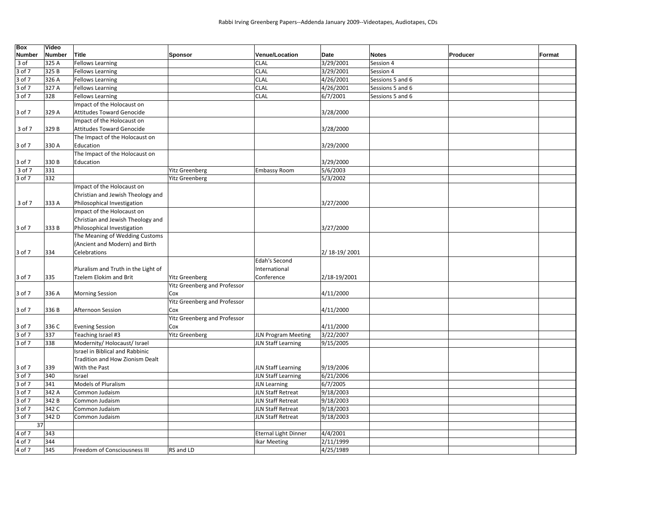| <b>Box</b>    | Video  |                                     |                                     |                             |                |                  |          |        |
|---------------|--------|-------------------------------------|-------------------------------------|-----------------------------|----------------|------------------|----------|--------|
| <b>Number</b> | Number | <b>Title</b>                        | <b>Sponsor</b>                      | Venue/Location              | Date           | <b>Notes</b>     | Producer | Format |
| 3 of          | 325 A  | <b>Fellows Learning</b>             |                                     | <b>CLAL</b>                 | 3/29/2001      | Session 4        |          |        |
| 3 of 7        | 325 B  | <b>Fellows Learning</b>             |                                     | <b>CLAL</b>                 | 3/29/2001      | Session 4        |          |        |
| 3 of 7        | 326 A  | <b>Fellows Learning</b>             |                                     | <b>CLAL</b>                 | 4/26/2001      | Sessions 5 and 6 |          |        |
| 3 of 7        | 327 A  | <b>Fellows Learning</b>             |                                     | <b>CLAL</b>                 | 4/26/2001      | Sessions 5 and 6 |          |        |
| 3 of 7        | 328    | <b>Fellows Learning</b>             |                                     | <b>CLAL</b>                 | 6/7/2001       | Sessions 5 and 6 |          |        |
|               |        | Impact of the Holocaust on          |                                     |                             |                |                  |          |        |
| 3 of 7        | 329 A  | <b>Attitudes Toward Genocide</b>    |                                     |                             | 3/28/2000      |                  |          |        |
|               |        | Impact of the Holocaust on          |                                     |                             |                |                  |          |        |
| 3 of 7        | 329B   | <b>Attitudes Toward Genocide</b>    |                                     |                             | 3/28/2000      |                  |          |        |
|               |        | The Impact of the Holocaust on      |                                     |                             |                |                  |          |        |
| 3 of 7        | 330 A  | Education                           |                                     |                             | 3/29/2000      |                  |          |        |
|               |        | The Impact of the Holocaust on      |                                     |                             |                |                  |          |        |
| 3 of 7        | 330 B  | Education                           |                                     |                             | 3/29/2000      |                  |          |        |
| 3 of 7        | 331    |                                     | <b>Yitz Greenberg</b>               | <b>Embassy Room</b>         | 5/6/2003       |                  |          |        |
| 3 of 7        | 332    |                                     | <b>Yitz Greenberg</b>               |                             | 5/3/2002       |                  |          |        |
|               |        | Impact of the Holocaust on          |                                     |                             |                |                  |          |        |
|               |        | Christian and Jewish Theology and   |                                     |                             |                |                  |          |        |
| 3 of 7        | 333 A  | Philosophical Investigation         |                                     |                             | 3/27/2000      |                  |          |        |
|               |        | Impact of the Holocaust on          |                                     |                             |                |                  |          |        |
|               |        | Christian and Jewish Theology and   |                                     |                             |                |                  |          |        |
| 3 of 7        | 333B   | Philosophical Investigation         |                                     |                             | 3/27/2000      |                  |          |        |
|               |        | The Meaning of Wedding Customs      |                                     |                             |                |                  |          |        |
|               |        | (Ancient and Modern) and Birth      |                                     |                             |                |                  |          |        |
| 3 of 7        | 334    | Celebrations                        |                                     |                             | 2/ 18-19/ 2001 |                  |          |        |
|               |        |                                     |                                     | <b>Edah's Second</b>        |                |                  |          |        |
|               |        | Pluralism and Truth in the Light of |                                     | International               |                |                  |          |        |
| 3 of 7        | 335    | <b>Tzelem Elokim and Brit</b>       | <b>Yitz Greenberg</b>               | Conference                  | 2/18-19/2001   |                  |          |        |
|               |        |                                     | <b>Yitz Greenberg and Professor</b> |                             |                |                  |          |        |
| 3 of 7        | 336 A  | <b>Morning Session</b>              | Cox                                 |                             | 4/11/2000      |                  |          |        |
|               |        |                                     | <b>Yitz Greenberg and Professor</b> |                             |                |                  |          |        |
| 3 of 7        | 336 B  | Afternoon Session                   | Cox                                 |                             | 4/11/2000      |                  |          |        |
|               |        |                                     | Yitz Greenberg and Professor        |                             |                |                  |          |        |
| 3 of 7        | 336 C  | <b>Evening Session</b>              | Cox                                 |                             | 4/11/2000      |                  |          |        |
| 3 of 7        | 337    | Teaching Israel #3                  | <b>Yitz Greenberg</b>               | JLN Program Meeting         | 3/22/2007      |                  |          |        |
| 3 of 7        | 338    | Modernity/Holocaust/Israel          |                                     | <b>JLN Staff Learning</b>   | 9/15/2005      |                  |          |        |
|               |        | Israel in Biblical and Rabbinic     |                                     |                             |                |                  |          |        |
|               |        | Tradition and How Zionism Dealt     |                                     |                             |                |                  |          |        |
| 3 of 7        | 339    | With the Past                       |                                     | JLN Staff Learning          | 9/19/2006      |                  |          |        |
| 3 of 7        | 340    | Israel                              |                                     | JLN Staff Learning          | 6/21/2006      |                  |          |        |
| 3 of 7        | 341    | <b>Models of Pluralism</b>          |                                     | JLN Learning                | 6/7/2005       |                  |          |        |
| 3 of 7        | 342 A  | Common Judaism                      |                                     | JLN Staff Retreat           | 9/18/2003      |                  |          |        |
| 3 of 7        | 342B   | Common Judaism                      |                                     | JLN Staff Retreat           | 9/18/2003      |                  |          |        |
| 3 of 7        | 342 C  | Common Judaism                      |                                     | JLN Staff Retreat           | 9/18/2003      |                  |          |        |
| 3 of 7        | 342 D  | Common Judaism                      |                                     | JLN Staff Retreat           | 9/18/2003      |                  |          |        |
| 37            |        |                                     |                                     |                             |                |                  |          |        |
| 4 of 7        | 343    |                                     |                                     | <b>Eternal Light Dinner</b> | 4/4/2001       |                  |          |        |
| 4 of 7        | 344    |                                     |                                     | <b>Ikar Meeting</b>         | 2/11/1999      |                  |          |        |
| $4$ of $7$    | 345    | Freedom of Consciousness III        | RS and LD                           |                             | 4/25/1989      |                  |          |        |
|               |        |                                     |                                     |                             |                |                  |          |        |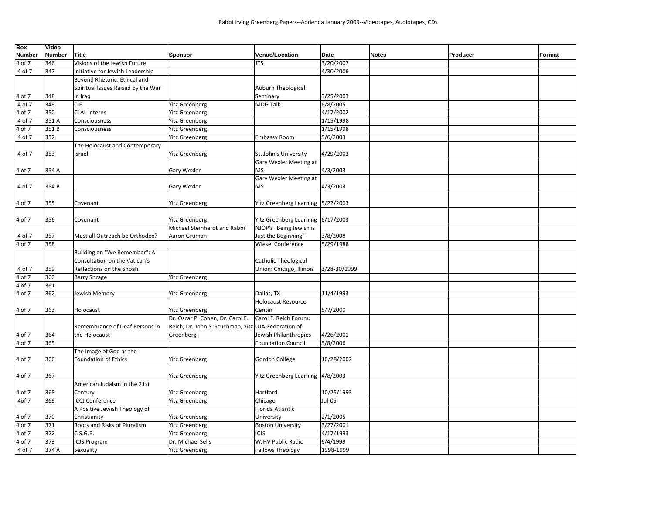| Box    | Video         |                                    |                                                     |                                    |              |              |          |        |
|--------|---------------|------------------------------------|-----------------------------------------------------|------------------------------------|--------------|--------------|----------|--------|
| Number | <b>Number</b> | Title                              | <b>Sponsor</b>                                      | Venue/Location                     | Date         | <b>Notes</b> | Producer | Format |
| 4 of 7 | 346           | Visions of the Jewish Future       |                                                     | <b>JTS</b>                         | 3/20/2007    |              |          |        |
| 4 of 7 | 347           | Initiative for Jewish Leadership   |                                                     |                                    | 4/30/2006    |              |          |        |
|        |               | Beyond Rhetoric: Ethical and       |                                                     |                                    |              |              |          |        |
|        |               | Spiritual Issues Raised by the War |                                                     | Auburn Theological                 |              |              |          |        |
| 4 of 7 | 348           | in Iraq                            |                                                     | Seminary                           | 3/25/2003    |              |          |        |
| 4 of 7 | 349           | <b>CIE</b>                         | <b>Yitz Greenberg</b>                               | <b>MDG Talk</b>                    | 6/8/2005     |              |          |        |
| 4 of 7 | 350           | <b>CLAL Interns</b>                | <b>Yitz Greenberg</b>                               |                                    | 4/17/2002    |              |          |        |
| 4 of 7 | 351 A         | Consciousness                      | Yitz Greenberg                                      |                                    | 1/15/1998    |              |          |        |
| 1 of 7 | 351B          | Consciousness                      | Yitz Greenberg                                      |                                    | 1/15/1998    |              |          |        |
| 4 of 7 | 352           |                                    | <b>Yitz Greenberg</b>                               | <b>Embassy Room</b>                | 5/6/2003     |              |          |        |
|        |               | The Holocaust and Contemporary     |                                                     |                                    |              |              |          |        |
| 4 of 7 | 353           | Israel                             | <b>Yitz Greenberg</b>                               | St. John's University              | 4/29/2003    |              |          |        |
|        |               |                                    |                                                     | Gary Wexler Meeting at             |              |              |          |        |
| 4 of 7 | 354 A         |                                    | Gary Wexler                                         | <b>MS</b>                          | 4/3/2003     |              |          |        |
|        |               |                                    |                                                     | Gary Wexler Meeting at             |              |              |          |        |
| 4 of 7 | 354 B         |                                    | Gary Wexler                                         | <b>MS</b>                          | 4/3/2003     |              |          |        |
|        |               |                                    |                                                     |                                    |              |              |          |        |
| 4 of 7 | 355           | Covenant                           | <b>Yitz Greenberg</b>                               | Yitz Greenberg Learning 5/22/2003  |              |              |          |        |
|        |               |                                    |                                                     |                                    |              |              |          |        |
| 4 of 7 | 356           | Covenant                           | <b>Yitz Greenberg</b>                               | Yitz Greenberg Learning 6/17/2003  |              |              |          |        |
|        |               |                                    | Michael Steinhardt and Rabbi                        | NJOP's "Being Jewish is            |              |              |          |        |
| 4 of 7 | 357           | Must all Outreach be Orthodox?     | Aaron Gruman                                        | Just the Beginning"                | 3/8/2008     |              |          |        |
| 4 of 7 | 358           |                                    |                                                     | <b>Wiesel Conference</b>           | 5/29/1988    |              |          |        |
|        |               | Building on "We Remember": A       |                                                     |                                    |              |              |          |        |
|        |               | Consultation on the Vatican's      |                                                     | <b>Catholic Theological</b>        |              |              |          |        |
| 4 of 7 | 359           | Reflections on the Shoah           |                                                     | Union: Chicago, Illinois           | 3/28-30/1999 |              |          |        |
| 4 of 7 | 360           | <b>Barry Shrage</b>                | <b>Yitz Greenberg</b>                               |                                    |              |              |          |        |
| 4 of 7 | 361           |                                    |                                                     |                                    |              |              |          |        |
| 1 of 7 | 362           | Jewish Memory                      | <b>Yitz Greenberg</b>                               | Dallas, TX                         | 11/4/1993    |              |          |        |
|        |               |                                    |                                                     | <b>Holocaust Resource</b>          |              |              |          |        |
| 1 of 7 | 363           | Holocaust                          | <b>Yitz Greenberg</b>                               | Center                             | 5/7/2000     |              |          |        |
|        |               |                                    | Dr. Oscar P. Cohen, Dr. Carol F.                    | Carol F. Reich Forum:              |              |              |          |        |
|        |               | Remembrance of Deaf Persons in     | Reich, Dr. John S. Scuchman, Yitz UJA-Federation of |                                    |              |              |          |        |
| 4 of 7 | 364           | the Holocaust                      | Greenberg                                           | Jewish Philanthropies              | 4/26/2001    |              |          |        |
| 4 of 7 | 365           |                                    |                                                     | <b>Foundation Council</b>          | 5/8/2006     |              |          |        |
|        |               | The Image of God as the            |                                                     |                                    |              |              |          |        |
| 4 of 7 | 366           | Foundation of Ethics               | <b>Yitz Greenberg</b>                               | Gordon College                     | 10/28/2002   |              |          |        |
|        |               |                                    |                                                     |                                    |              |              |          |        |
| 4 of 7 | 367           |                                    | <b>Yitz Greenberg</b>                               | Yitz Greenberg Learning   4/8/2003 |              |              |          |        |
|        |               | American Judaism in the 21st       |                                                     |                                    |              |              |          |        |
| 4 of 7 | 368           | Century                            | <b>Yitz Greenberg</b>                               | Hartford                           | 10/25/1993   |              |          |        |
|        |               |                                    |                                                     |                                    |              |              |          |        |
| 4of 7  | 369           | <b>ICCJ Conference</b>             | <b>Yitz Greenberg</b>                               | Chicago                            | Jul-05       |              |          |        |
|        |               | A Positive Jewish Theology of      |                                                     | Florida Atlantic                   |              |              |          |        |
| 4 of 7 | 370           | Christianity                       | <b>Yitz Greenberg</b>                               | University                         | 2/1/2005     |              |          |        |
| 4 of 7 | 371           | Roots and Risks of Pluralism       | <b>Yitz Greenberg</b>                               | <b>Boston University</b>           | 3/27/2001    |              |          |        |
| 4 of 7 | 372           | C.S.G.P.                           | <b>Yitz Greenberg</b>                               | <b>ICJS</b>                        | 4/17/1993    |              |          |        |
| 4 of 7 | 373           | ICJS Program                       | Dr. Michael Sells                                   | <b>WJHV Public Radio</b>           | 6/4/1999     |              |          |        |
| 4 of 7 | 374 A         | Sexuality                          | <b>Yitz Greenberg</b>                               | <b>Fellows Theology</b>            | 1998-1999    |              |          |        |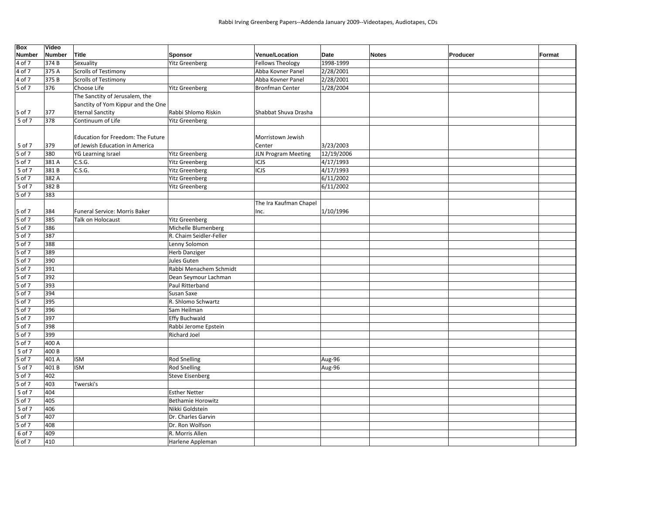| Box           | Video         |                                    |                          |                         |            |                          |        |
|---------------|---------------|------------------------------------|--------------------------|-------------------------|------------|--------------------------|--------|
| <b>Number</b> | <b>Number</b> | Title                              | <b>Sponsor</b>           | Venue/Location          | Date       | <b>Notes</b><br>Producer | Format |
| 4 of 7        | 374 B         | Sexuality                          | <b>Yitz Greenberg</b>    | <b>Fellows Theology</b> | 1998-1999  |                          |        |
| 4 of 7        | 375 A         | <b>Scrolls of Testimony</b>        |                          | Abba Kovner Panel       | 2/28/2001  |                          |        |
| 4 of 7        | 375B          | Scrolls of Testimony               |                          | Abba Kovner Panel       | 2/28/2001  |                          |        |
| 5 of 7        | 376           | Choose Life                        | <b>Yitz Greenberg</b>    | <b>Bronfman Center</b>  | 1/28/2004  |                          |        |
|               |               | The Sanctity of Jerusalem, the     |                          |                         |            |                          |        |
|               |               | Sanctity of Yom Kippur and the One |                          |                         |            |                          |        |
| 5 of 7        | 377           | <b>Eternal Sanctity</b>            | Rabbi Shlomo Riskin      | Shabbat Shuva Drasha    |            |                          |        |
| 5 of 7        | 378           | Continuum of Life                  | <b>Yitz Greenberg</b>    |                         |            |                          |        |
|               |               |                                    |                          |                         |            |                          |        |
|               |               | Education for Freedom: The Future  |                          | Morristown Jewish       |            |                          |        |
| 5 of 7        | 379           | of Jewish Education in America     |                          | Center                  | 3/23/2003  |                          |        |
| 5 of 7        | 380           | YG Learning Israel                 | <b>Yitz Greenberg</b>    | JLN Program Meeting     | 12/19/2006 |                          |        |
| 5 of 7        | 381A          | C.S.G.                             | <b>Yitz Greenberg</b>    | ICJS                    | 4/17/1993  |                          |        |
| 5 of 7        | 381B          | C.S.G.                             | <b>Yitz Greenberg</b>    | ICJS                    | 4/17/1993  |                          |        |
| 5 of 7        | 382 A         |                                    | <b>Yitz Greenberg</b>    |                         | 6/11/2002  |                          |        |
| 5 of 7        | 382B          |                                    | <b>Yitz Greenberg</b>    |                         | 6/11/2002  |                          |        |
| 5 of 7        | 383           |                                    |                          |                         |            |                          |        |
|               |               |                                    |                          | The Ira Kaufman Chapel  |            |                          |        |
| 5 of 7        | 384           | Funeral Service: Morris Baker      |                          | Inc.                    | 1/10/1996  |                          |        |
| 5 of 7        | 385           | <b>Talk on Holocaust</b>           | <b>Yitz Greenberg</b>    |                         |            |                          |        |
| 5 of 7        | 386           |                                    | Michelle Blumenberg      |                         |            |                          |        |
| 5 of 7        | 387           |                                    | R. Chaim Seidler-Feller  |                         |            |                          |        |
| 5 of 7        | 388           |                                    | Lenny Solomon            |                         |            |                          |        |
| $5$ of $7$    | 389           |                                    | <b>Herb Danziger</b>     |                         |            |                          |        |
| 5 of 7        | 390           |                                    | Jules Guten              |                         |            |                          |        |
| $5$ of 7      | 391           |                                    | Rabbi Menachem Schmidt   |                         |            |                          |        |
| 5 of 7        | 392           |                                    | Dean Seymour Lachman     |                         |            |                          |        |
| 5 of 7        | 393           |                                    | Paul Ritterband          |                         |            |                          |        |
| 5 of 7        | 394           |                                    | Susan Saxe               |                         |            |                          |        |
| 5 of 7        | 395           |                                    | R. Shlomo Schwartz       |                         |            |                          |        |
| $5$ of 7      | 396           |                                    | Sam Heilman              |                         |            |                          |        |
| 5 of 7        | 397           |                                    | <b>Effy Buchwald</b>     |                         |            |                          |        |
| 5 of 7        | 398           |                                    | Rabbi Jerome Epstein     |                         |            |                          |        |
| 5 of 7        | 399           |                                    | <b>Richard Joel</b>      |                         |            |                          |        |
| 5 of 7        | 400 A         |                                    |                          |                         |            |                          |        |
| 5 of 7        | 400 B         |                                    |                          |                         |            |                          |        |
| 5 of 7        | 401 A         | <b>ISM</b>                         | <b>Rod Snelling</b>      |                         | Aug-96     |                          |        |
| 5 of 7        | 401B          | <b>ISM</b>                         | <b>Rod Snelling</b>      |                         | Aug-96     |                          |        |
| 5 of 7        | 402           |                                    | <b>Steve Eisenberg</b>   |                         |            |                          |        |
| 5 of 7        | 403           | Twerski's                          |                          |                         |            |                          |        |
| 5 of 7        | 404           |                                    | <b>Esther Netter</b>     |                         |            |                          |        |
| 5 of 7        | 405           |                                    | <b>Bethamie Horowitz</b> |                         |            |                          |        |
| 5 of 7        | 406           |                                    | Nikki Goldstein          |                         |            |                          |        |
| $5$ of $7$    | 407           |                                    | Dr. Charles Garvin       |                         |            |                          |        |
| 5 of 7        | 408           |                                    | Dr. Ron Wolfson          |                         |            |                          |        |
| 6 of 7        | 409           |                                    | R. Morris Allen          |                         |            |                          |        |
| 6 of 7        | 410           |                                    | Harlene Appleman         |                         |            |                          |        |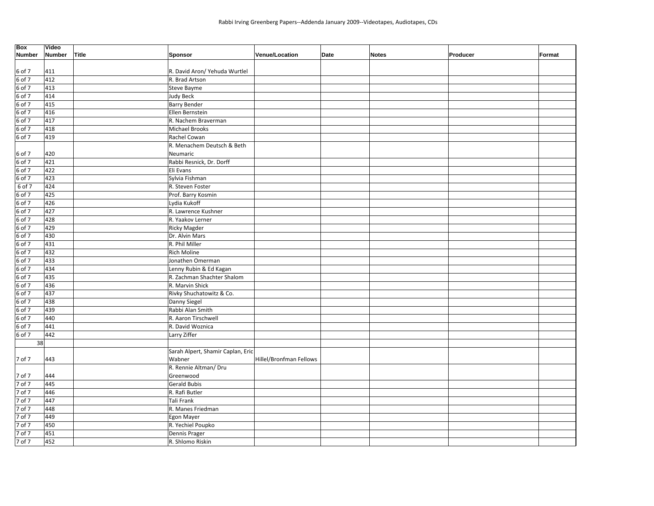| Box<br><b>Number</b> | Video<br><b>Number</b> | Title | Sponsor                           | Venue/Location          | Date | <b>Notes</b> | Producer | Format |
|----------------------|------------------------|-------|-----------------------------------|-------------------------|------|--------------|----------|--------|
|                      |                        |       |                                   |                         |      |              |          |        |
| 6 of 7               | 411                    |       | R. David Aron/ Yehuda Wurtlel     |                         |      |              |          |        |
| 6 of 7               | 412                    |       | R. Brad Artson                    |                         |      |              |          |        |
| 6 of 7               | 413                    |       | Steve Bayme                       |                         |      |              |          |        |
| 6 of 7               | 414                    |       | <b>Judy Beck</b>                  |                         |      |              |          |        |
| 6 of 7               | 415                    |       | <b>Barry Bender</b>               |                         |      |              |          |        |
| 6 of 7               | 416                    |       | Ellen Bernstein                   |                         |      |              |          |        |
| 6 of 7               | 417                    |       | R. Nachem Braverman               |                         |      |              |          |        |
| 6 of 7               | 418                    |       | Michael Brooks                    |                         |      |              |          |        |
| 6 of 7               | 419                    |       | Rachel Cowan                      |                         |      |              |          |        |
|                      |                        |       | R. Menachem Deutsch & Beth        |                         |      |              |          |        |
| 6 of 7               | 420                    |       | Neumaric                          |                         |      |              |          |        |
| 6 of 7               | 421                    |       | Rabbi Resnick, Dr. Dorff          |                         |      |              |          |        |
| 6 of 7               | 422                    |       | Eli Evans                         |                         |      |              |          |        |
| 6 of 7               | 423                    |       | Sylvia Fishman                    |                         |      |              |          |        |
| 6 of 7               | 424                    |       | R. Steven Foster                  |                         |      |              |          |        |
| 6 of 7               | 425                    |       | Prof. Barry Kosmin                |                         |      |              |          |        |
| 6 of 7               | 426                    |       | Lydia Kukoff                      |                         |      |              |          |        |
| 6 of 7               | 427                    |       | R. Lawrence Kushner               |                         |      |              |          |        |
| 6 of 7               | 428                    |       | R. Yaakov Lerner                  |                         |      |              |          |        |
| 6 of 7               | 429                    |       | <b>Ricky Magder</b>               |                         |      |              |          |        |
| 6 of 7               | 430                    |       | Dr. Alvin Mars                    |                         |      |              |          |        |
| $6$ of $7$           | 431                    |       | R. Phil Miller                    |                         |      |              |          |        |
| 6 of 7               | 432                    |       | Rich Moline                       |                         |      |              |          |        |
| 6 of 7               | 433                    |       | Jonathen Omerman                  |                         |      |              |          |        |
| 6 of 7               | 434                    |       | Lenny Rubin & Ed Kagan            |                         |      |              |          |        |
| 6 of 7               | 435                    |       | R. Zachman Shachter Shalom        |                         |      |              |          |        |
| $6$ of $7$           | 436                    |       | R. Marvin Shick                   |                         |      |              |          |        |
| 6 of 7               | 437                    |       | Rivky Shuchatowitz & Co.          |                         |      |              |          |        |
| $6$ of $7$           | 438                    |       | Danny Siegel                      |                         |      |              |          |        |
| 6 of 7               | 439                    |       | Rabbi Alan Smith                  |                         |      |              |          |        |
| $6$ of $7$           | 440                    |       | R. Aaron Tirschwell               |                         |      |              |          |        |
| $6$ of $7$           | 441                    |       | R. David Woznica                  |                         |      |              |          |        |
| 6 of 7               | 442                    |       | Larry Ziffer                      |                         |      |              |          |        |
| 38                   |                        |       |                                   |                         |      |              |          |        |
|                      |                        |       | Sarah Alpert, Shamir Caplan, Eric |                         |      |              |          |        |
| 7 of 7               | 443                    |       | Wabner                            | Hillel/Bronfman Fellows |      |              |          |        |
|                      |                        |       | R. Rennie Altman/ Dru             |                         |      |              |          |        |
| 7 of 7               | 444                    |       | Greenwood                         |                         |      |              |          |        |
| 7 of 7               | 445                    |       | <b>Gerald Bubis</b>               |                         |      |              |          |        |
| 7 of 7               | 446                    |       | R. Rafi Butler                    |                         |      |              |          |        |
| 7 of 7               | 447                    |       | Tali Frank                        |                         |      |              |          |        |
| 7 of 7               | 448                    |       | R. Manes Friedman                 |                         |      |              |          |        |
| 7 of 7               | 449                    |       | Egon Mayer                        |                         |      |              |          |        |
| 7 of 7               | 450                    |       | R. Yechiel Poupko                 |                         |      |              |          |        |
| 7 of 7               | 451                    |       | Dennis Prager                     |                         |      |              |          |        |
| 7 of 7               | 452                    |       | R. Shlomo Riskin                  |                         |      |              |          |        |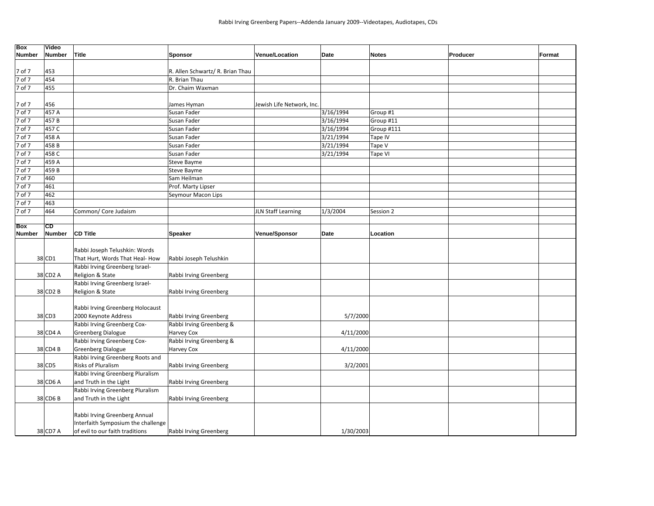| <b>Box</b>    | Video         |                                    |                                  |                           |           |              |          |        |
|---------------|---------------|------------------------------------|----------------------------------|---------------------------|-----------|--------------|----------|--------|
| <b>Number</b> | <b>Number</b> | <b>Title</b>                       | <b>Sponsor</b>                   | <b>Venue/Location</b>     | Date      | <b>Notes</b> | Producer | Format |
| 7 of 7        | 453           |                                    | R. Allen Schwartz/ R. Brian Thau |                           |           |              |          |        |
| 7 of 7        | 454           |                                    | R. Brian Thau                    |                           |           |              |          |        |
|               |               |                                    |                                  |                           |           |              |          |        |
| 7 of 7        | 455           |                                    | Dr. Chaim Waxman                 |                           |           |              |          |        |
| 7 of 7        | 456           |                                    | James Hyman                      | Jewish Life Network, Inc. |           |              |          |        |
| 7 of 7        | 457 A         |                                    | Susan Fader                      |                           | 3/16/1994 | Group #1     |          |        |
| 7 of 7        | 457B          |                                    | Susan Fader                      |                           | 3/16/1994 | Group #11    |          |        |
| 7 of 7        | 457 C         |                                    | Susan Fader                      |                           | 3/16/1994 | Group #111   |          |        |
| 7 of 7        | 458 A         |                                    | Susan Fader                      |                           | 3/21/1994 | Tape IV      |          |        |
| 7 of 7        | 458B          |                                    | Susan Fader                      |                           | 3/21/1994 | Tape V       |          |        |
| 7 of 7        | 458 C         |                                    | Susan Fader                      |                           | 3/21/1994 | Tape VI      |          |        |
| 7 of 7        | 459 A         |                                    | Steve Bayme                      |                           |           |              |          |        |
| 7 of 7        | 459B          |                                    | Steve Bayme                      |                           |           |              |          |        |
| 7 of 7        | 460           |                                    | Sam Heilman                      |                           |           |              |          |        |
| 7 of 7        | 461           |                                    | Prof. Marty Lipser               |                           |           |              |          |        |
| 7 of 7        | 462           |                                    | Seymour Macon Lips               |                           |           |              |          |        |
| 7 of 7        | 463           |                                    |                                  |                           |           |              |          |        |
| 7 of 7        | 464           | Common/ Core Judaism               |                                  | <b>JLN Staff Learning</b> | 1/3/2004  | Session 2    |          |        |
|               |               |                                    |                                  |                           |           |              |          |        |
| <b>Box</b>    | <b>CD</b>     |                                    |                                  |                           |           |              |          |        |
| <b>Number</b> | <b>Number</b> | <b>CD Title</b>                    | <b>Speaker</b>                   | <b>Venue/Sponsor</b>      | Date      | Location     |          |        |
|               |               |                                    |                                  |                           |           |              |          |        |
|               |               | Rabbi Joseph Telushkin: Words      |                                  |                           |           |              |          |        |
|               | 38 CD1        | That Hurt, Words That Heal- How    | Rabbi Joseph Telushkin           |                           |           |              |          |        |
|               |               | Rabbi Irving Greenberg Israel-     |                                  |                           |           |              |          |        |
|               | 38 CD2 A      | Religion & State                   | Rabbi Irving Greenberg           |                           |           |              |          |        |
|               |               | Rabbi Irving Greenberg Israel-     |                                  |                           |           |              |          |        |
|               | 38 CD2 B      | Religion & State                   | Rabbi Irving Greenberg           |                           |           |              |          |        |
|               |               |                                    |                                  |                           |           |              |          |        |
|               |               | Rabbi Irving Greenberg Holocaust   |                                  |                           |           |              |          |        |
|               | 38 CD3        | 2000 Keynote Address               | Rabbi Irving Greenberg           |                           | 5/7/2000  |              |          |        |
|               |               | Rabbi Irving Greenberg Cox-        | Rabbi Irving Greenberg &         |                           |           |              |          |        |
|               | 38 CD4 A      | <b>Greenberg Dialogue</b>          | Harvey Cox                       |                           | 4/11/2000 |              |          |        |
|               |               | Rabbi Irving Greenberg Cox-        | Rabbi Irving Greenberg &         |                           |           |              |          |        |
|               | 38 CD4 B      | <b>Greenberg Dialogue</b>          | Harvey Cox                       |                           | 4/11/2000 |              |          |        |
|               |               | Rabbi Irving Greenberg Roots and   |                                  |                           |           |              |          |        |
|               | 38 CD5        | <b>Risks of Pluralism</b>          | Rabbi Irving Greenberg           |                           | 3/2/2001  |              |          |        |
|               |               | Rabbi Irving Greenberg Pluralism   |                                  |                           |           |              |          |        |
|               | 38 CD6 A      | and Truth in the Light             | Rabbi Irving Greenberg           |                           |           |              |          |        |
|               |               | Rabbi Irving Greenberg Pluralism   |                                  |                           |           |              |          |        |
|               | 38 CD6 B      | and Truth in the Light             | Rabbi Irving Greenberg           |                           |           |              |          |        |
|               |               |                                    |                                  |                           |           |              |          |        |
|               |               | Rabbi Irving Greenberg Annual      |                                  |                           |           |              |          |        |
|               |               | Interfaith Symposium the challenge |                                  |                           |           |              |          |        |
|               | 38 CD7 A      | of evil to our faith traditions    | Rabbi Irving Greenberg           |                           | 1/30/2003 |              |          |        |